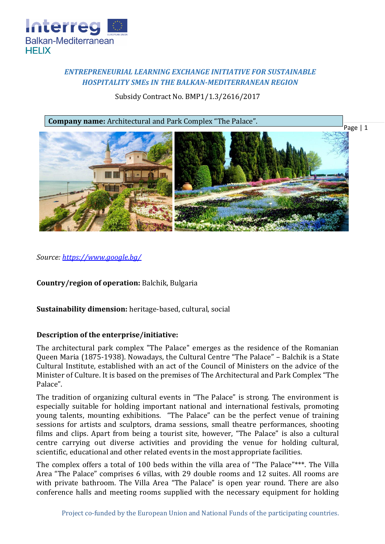

# *ENTREPRENEURIAL LEARNING EXCHANGE INITIATIVE FOR SUSTAINABLE HOSPITALITY SMEs IN THE BALKAN-MEDITERRANEAN REGION*

Subsidy Contract No. BMP1/1.3/2616/2017



*Source: [https://www.google.bg/](https://www.google.bg/search?q=%D0%B4%D0%B2%D0%BE%D1%80%D0%B5%D1%86%D0%B0+%D0%B2+%D0%B1%D0%B0%D0%BB%D1%87%D0%B8%D0%BA&source=lnms&tbm=isch&sa=X&ved=0ahUKEwjZkcjjtcjZAhUB3iwKHff4ByIQ_AUICigB&biw=1440&bih=794#imgdii=4_xawlhGW-27lM:&imgrc=J-FZxFcfAP8oxM)*

**Country/region of operation:** Balchik, Bulgaria

**Sustainability dimension:** heritage-based, cultural, social

## **Description of the enterprise/initiative:**

The architectural park complex "The Palace" emerges as the residence of the Romanian Queen Maria (1875-1938). Nowadays, the Cultural Centre "The Palace" – Balchik is a State Cultural Institute, established with an act of the Council of Ministers on the advice of the Minister of Culture. It is based on the premises of The Architectural and Park Complex "The Palace".

The tradition of organizing cultural events in "The Palace" is strong. The environment is especially suitable for holding important national and international festivals, promoting young talents, mounting exhibitions. "The Palace" can be the perfect venue of training sessions for artists and sculptors, drama sessions, small theatre performances, shooting films and clips. Apart from being a tourist site, however, "The Palace" is also a cultural centre carrying out diverse activities and providing the venue for holding cultural, scientific, educational and other related events in the most appropriate facilities.

The complex offers a total of 100 beds within the villa area of "The Palace"\*\*\*. The Villa Area "The Palace" comprises 6 villas, with 29 double rooms and 12 suites. All rooms are with private bathroom. The Villa Area "The Palace" is open year round. There are also conference halls and meeting rooms supplied with the necessary equipment for holding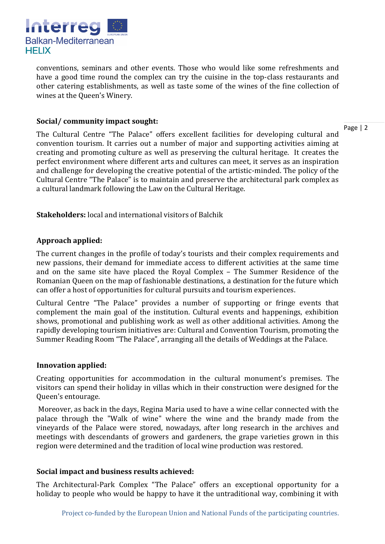

conventions, seminars and other events. Those who would like some refreshments and have a good time round the complex can try the cuisine in the top-class restaurants and other catering establishments, as well as taste some of the wines of the fine collection of wines at the Queen's Winery.

### **Social/ community impact sought:**

Page | 2

The Cultural Centre "The Palace" offers excellent facilities for developing cultural and convention tourism. It carries out a number of major and supporting activities aiming at creating and promoting culture as well as preserving the cultural heritage. It creates the perfect environment where different arts and cultures can meet, it serves as an inspiration and challenge for developing the creative potential of the artistic-minded. The policy of the Cultural Centre "The Palace" is to maintain and preserve the architectural park complex as a cultural landmark following the Law on the Cultural Heritage.

**Stakeholders:** local and international visitors of Balchik

# **Approach applied:**

The current changes in the profile of today's tourists and their complex requirements and new passions, their demand for immediate access to different activities at the same time and on the same site have placed the Royal Complex – The Summer Residence of the Romanian Queen on the map of fashionable destinations, a destination for the future which can offer a host of opportunities for cultural pursuits and tourism experiences.

Cultural Centre "The Palace" provides a number of supporting or fringe events that complement the main goal of the institution. Cultural events and happenings, exhibition shows, promotional and publishing work as well as other additional activities. Among the rapidly developing tourism initiatives are: Cultural and Convention Tourism, promoting the Summer Reading Room "The Palace", arranging all the details of Weddings at the Palace.

## **Innovation applied:**

Creating opportunities for accommodation in the cultural monument's premises. The visitors can spend their holiday in villas which in their construction were designed for the Queen's entourage.

Moreover, as back in the days, Regina Maria used to have a wine cellar connected with the palace through the "Walk of wine" where the wine and the brandy made from the vineyards of the Palace were stored, nowadays, after long research in the archives and meetings with descendants of growers and gardeners, the grape varieties grown in this region were determined and the tradition of local wine production was restored.

## **Social impact and business results achieved:**

The Architectural-Park Complex "The Palace" offers an exceptional opportunity for a holiday to people who would be happy to have it the untraditional way, combining it with